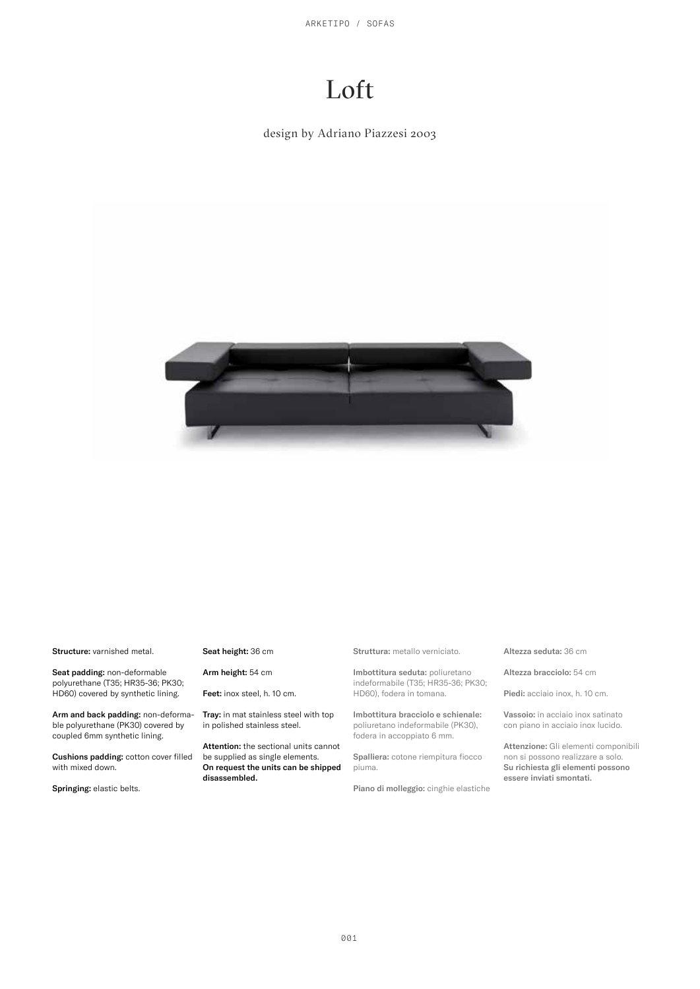ARKETIPO / SOFAS

# Loft

design by Adriano Piazzesi 2003



Structure: varnished metal.

Seat padding: non-deformable polyurethane (T35; HR35-36; PK30; HD60) covered by synthetic lining.

Arm and back padding: non-deformable polyurethane (PK30) covered by coupled 6mm synthetic lining.

Cushions padding: cotton cover filled with mixed down.

Springing: elastic belts.

#### Seat height: 36 cm

Arm height: 54 cm

Feet: inox steel, h. 10 cm.

Tray: in mat stainless steel with top in polished stainless steel.

Attention: the sectional units cannot be supplied as single elements. On request the units can be shipped disassembled.

Struttura: metallo verniciato.

Imbottitura seduta: poliuretano indeformabile (T35; HR35-36; PK30; HD60), fodera in tomana.

Imbottitura bracciolo e schienale: poliuretano indeformabile (PK30), fodera in accoppiato 6 mm.

Spalliera: cotone riempitura fiocco piuma.

Piano di molleggio: cinghie elastiche

#### Altezza seduta: 36 cm

Altezza bracciolo: 54 cm

Piedi: acciaio inox, h. 10 cm.

Vassoio: in acciaio inox satinato con piano in acciaio inox lucido.

Attenzione: Gli elementi componibili non si possono realizzare a solo. Su richiesta gli elementi possono essere inviati smontati.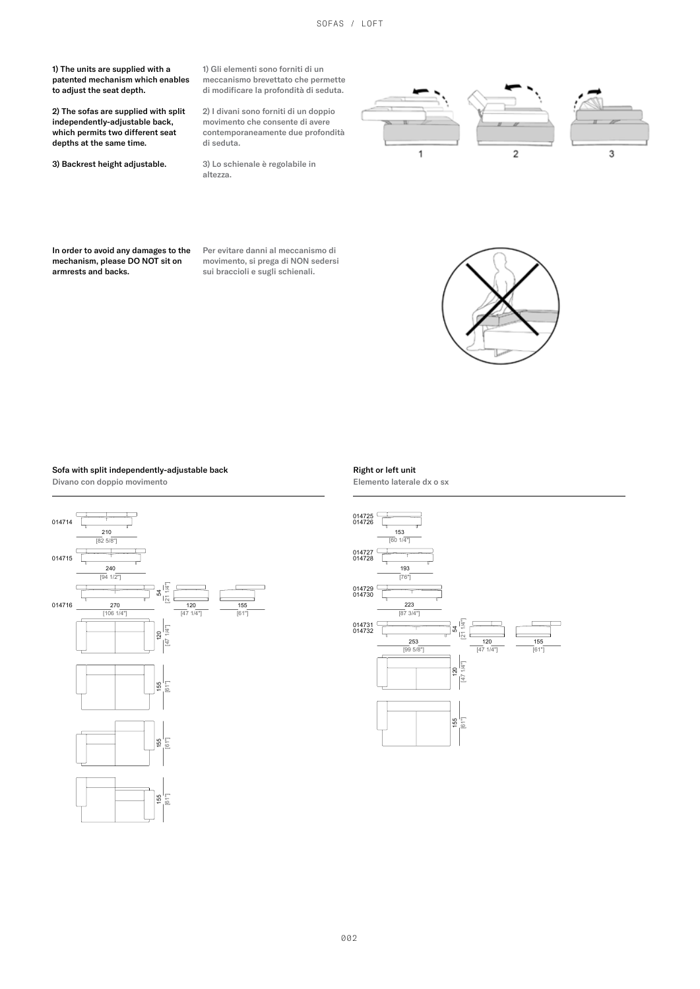1) The units are supplied with a patented mechanism which enables to adjust the seat depth.

2) The sofas are supplied with split independently-adjustable back, which permits two different seat depths at the same time.

3) Backrest height adjustable.

1) Gli elementi sono forniti di un meccanismo brevettato che permette di modificare la profondità di seduta.

2) I divani sono forniti di un doppio movimento che consente di avere contemporaneamente due profondità di seduta.

3) Lo schienale è regolabile in altezza.



In order to avoid any damages to the mechanism, please DO NOT sit on armrests and backs.

Per evitare danni al meccanismo di movimento, si prega di NON sedersi sui braccioli e sugli schienali.



## Sofa with split independently-adjustable back



Right or left unit

Elemento laterale dx o sx